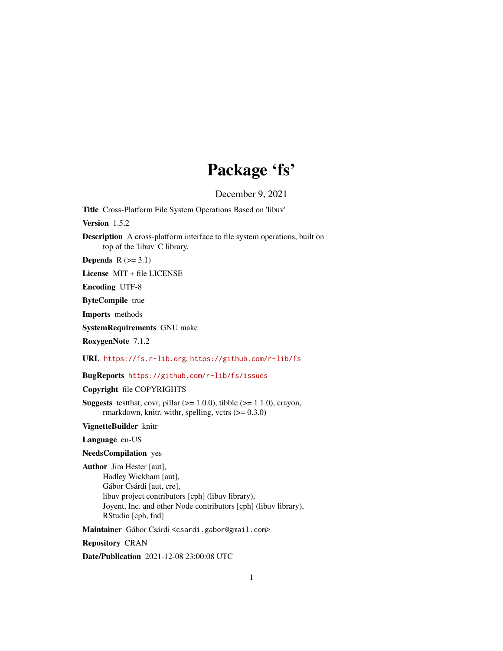## Package 'fs'

December 9, 2021

<span id="page-0-0"></span>Title Cross-Platform File System Operations Based on 'libuv'

Version 1.5.2

Description A cross-platform interface to file system operations, built on top of the 'libuv' C library.

Depends  $R$  ( $>= 3.1$ )

License MIT + file LICENSE

Encoding UTF-8

ByteCompile true

Imports methods

SystemRequirements GNU make

RoxygenNote 7.1.2

URL <https://fs.r-lib.org>, <https://github.com/r-lib/fs>

BugReports <https://github.com/r-lib/fs/issues>

Copyright file COPYRIGHTS

**Suggests** test that, covr, pillar  $(>= 1.0.0)$ , tibble  $(>= 1.1.0)$ , crayon, rmarkdown, knitr, withr, spelling, vctrs  $(>= 0.3.0)$ 

VignetteBuilder knitr

Language en-US

## NeedsCompilation yes

Author Jim Hester [aut], Hadley Wickham [aut], Gábor Csárdi [aut, cre], libuv project contributors [cph] (libuv library), Joyent, Inc. and other Node contributors [cph] (libuv library), RStudio [cph, fnd]

Maintainer Gábor Csárdi <csardi.gabor@gmail.com>

Repository CRAN

Date/Publication 2021-12-08 23:00:08 UTC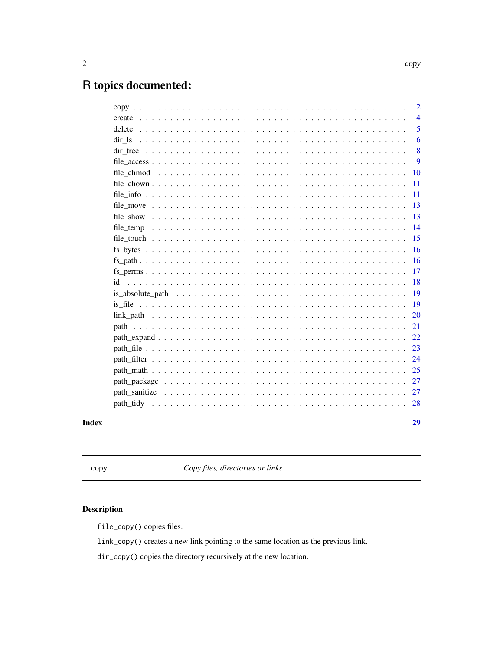## <span id="page-1-0"></span>R topics documented:

|           | 29             |
|-----------|----------------|
| path tidy | 28             |
|           | 27             |
|           | 27             |
|           | 25             |
|           | 24             |
|           | 23             |
|           | 22             |
|           | 21             |
|           | 20             |
|           | 19             |
|           | 19             |
| id        | 18             |
|           | 17             |
|           | 16             |
|           | 16             |
|           | 15             |
|           | 14             |
|           | 13             |
|           | 13             |
|           | 11             |
|           | 11             |
|           | 10             |
|           | 9              |
|           | 8              |
| dir 1s    | 6              |
|           | 5              |
|           | $\overline{4}$ |
|           | $\overline{2}$ |

## **Index**

copy

Copy files, directories or links

## $\begin{minipage}{.4\linewidth} \textbf{Description} \end{minipage} \vspace{-0.5em}$

file\_copy() copies files.

link\_copy() creates a new link pointing to the same location as the previous link.

dir\_copy() copies the directory recursively at the new location.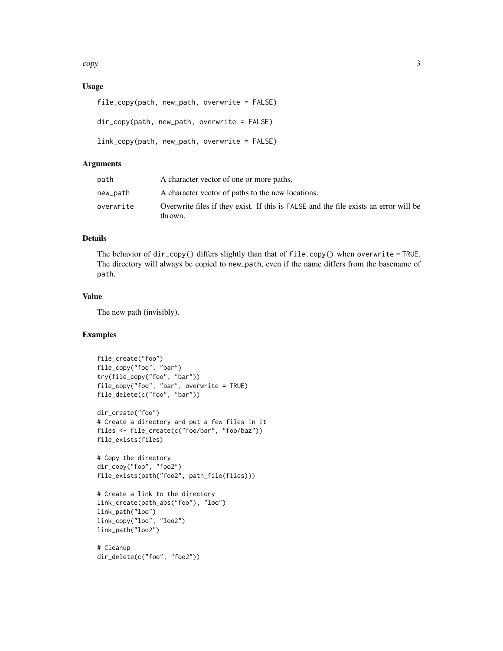copy 3

## Usage

```
file_copy(path, new_path, overwrite = FALSE)
```

```
dir_copy(path, new_path, overwrite = FALSE)
```

```
link_copy(path, new_path, overwrite = FALSE)
```
## Arguments

| path      | A character vector of one or more paths.                                                        |
|-----------|-------------------------------------------------------------------------------------------------|
| new_path  | A character vector of paths to the new locations.                                               |
| overwrite | Overwrite files if they exist. If this is FALSE and the file exists an error will be<br>thrown. |

## Details

The behavior of dir\_copy() differs slightly than that of file.copy() when overwrite = TRUE. The directory will always be copied to new\_path, even if the name differs from the basename of path.

## Value

The new path (invisibly).

## Examples

```
file_create("foo")
file_copy("foo", "bar")
try(file_copy("foo", "bar"))
file_copy("foo", "bar", overwrite = TRUE)
file_delete(c("foo", "bar"))
dir_create("foo")
# Create a directory and put a few files in it
files <- file_create(c("foo/bar", "foo/baz"))
file_exists(files)
# Copy the directory
dir_copy("foo", "foo2")
file_exists(path("foo2", path_file(files)))
# Create a link to the directory
link_create(path_abs("foo"), "loo")
link_path("loo")
link_copy("loo", "loo2")
link_path("loo2")
# Cleanup
```
dir\_delete(c("foo", "foo2"))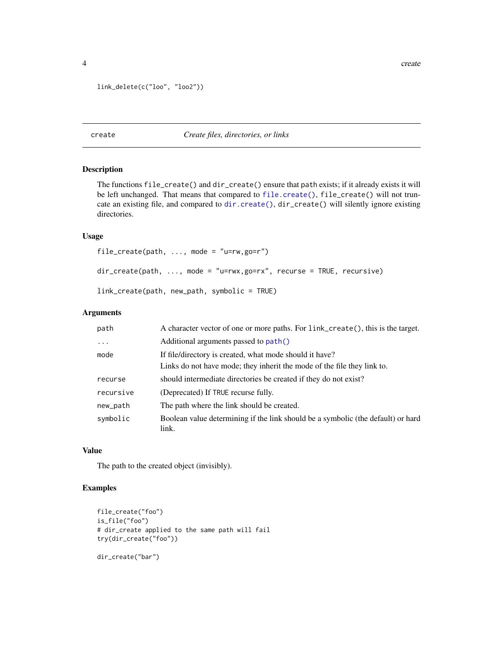```
link_delete(c("loo", "loo2"))
```
## create *Create files, directories, or links*

## <span id="page-3-1"></span>Description

The functions file\_create() and dir\_create() ensure that path exists; if it already exists it will be left unchanged. That means that compared to [file.create\(\)](#page-0-0), file\_create() will not truncate an existing file, and compared to [dir.create\(\)](#page-0-0), dir\_create() will silently ignore existing directories.

#### Usage

```
file_create(path, ..., mode = "u=rw, go=r")
dir_create(path, ..., mode = "u=rwx,go=rx", recurse = TRUE, recursive)
link_create(path, new_path, symbolic = TRUE)
```
## Arguments

| path      | A character vector of one or more paths. For link_create(), this is the target.           |
|-----------|-------------------------------------------------------------------------------------------|
| $\cdots$  | Additional arguments passed to path()                                                     |
| mode      | If file/directory is created, what mode should it have?                                   |
|           | Links do not have mode; they inherit the mode of the file they link to.                   |
| recurse   | should intermediate directories be created if they do not exist?                          |
| recursive | (Deprecated) If TRUE recurse fully.                                                       |
| new_path  | The path where the link should be created.                                                |
| symbolic  | Boolean value determining if the link should be a symbolic (the default) or hard<br>link. |

## Value

The path to the created object (invisibly).

```
file_create("foo")
is_file("foo")
# dir_create applied to the same path will fail
try(dir_create("foo"))
dir_create("bar")
```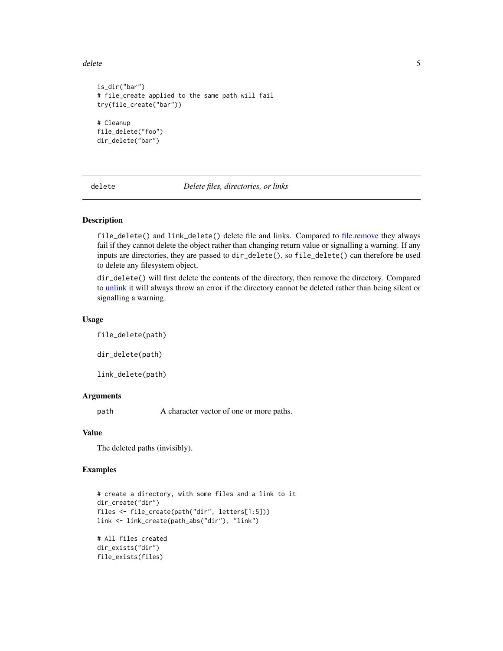<span id="page-4-0"></span>delete 55 and 55 and 55 and 55 and 55 and 55 and 55 and 55 and 55 and 55 and 55 and 55 and 55 and 55 and 55 and 55 and 55 and 55 and 55 and 55 and 55 and 55 and 55 and 55 and 55 and 55 and 55 and 55 and 55 and 55 and 55 an

```
is_dir("bar")
# file_create applied to the same path will fail
try(file_create("bar"))
# Cleanup
file_delete("foo")
dir_delete("bar")
```
delete *Delete files, directories, or links*

#### Description

file\_delete() and link\_delete() delete file and links. Compared to [file.remove](#page-0-0) they always fail if they cannot delete the object rather than changing return value or signalling a warning. If any inputs are directories, they are passed to dir\_delete(), so file\_delete() can therefore be used to delete any filesystem object.

dir\_delete() will first delete the contents of the directory, then remove the directory. Compared to [unlink](#page-0-0) it will always throw an error if the directory cannot be deleted rather than being silent or signalling a warning.

#### Usage

file\_delete(path) dir\_delete(path)

link\_delete(path)

#### Arguments

path A character vector of one or more paths.

## Value

The deleted paths (invisibly).

```
# create a directory, with some files and a link to it
dir_create("dir")
files <- file_create(path("dir", letters[1:5]))
link <- link_create(path_abs("dir"), "link")
# All files created
dir_exists("dir")
file_exists(files)
```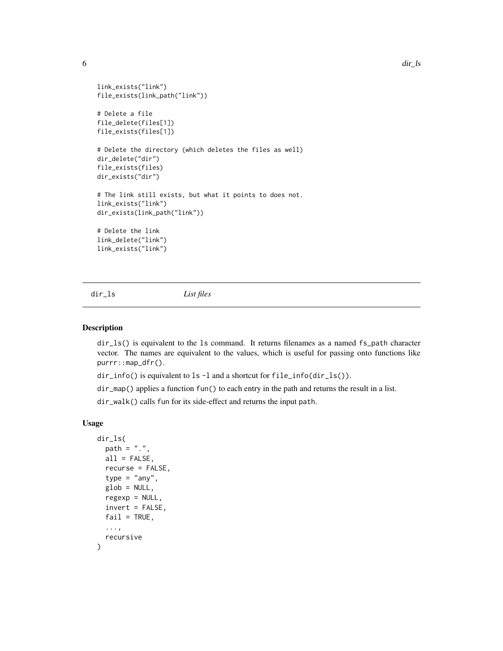```
link_exists("link")
file_exists(link_path("link"))
# Delete a file
file_delete(files[1])
file_exists(files[1])
# Delete the directory (which deletes the files as well)
dir_delete("dir")
file_exists(files)
dir_exists("dir")
# The link still exists, but what it points to does not.
link_exists("link")
dir_exists(link_path("link"))
# Delete the link
link_delete("link")
link_exists("link")
```
<span id="page-5-1"></span>dir\_ls *List files*

#### <span id="page-5-2"></span>Description

dir\_ls() is equivalent to the ls command. It returns filenames as a named fs\_path character vector. The names are equivalent to the values, which is useful for passing onto functions like purrr::map\_dfr().

dir\_info() is equivalent to ls -l and a shortcut for file\_info(dir\_ls()).

dir\_map() applies a function fun() to each entry in the path and returns the result in a list.

dir\_walk() calls fun for its side-effect and returns the input path.

#### Usage

```
dir_ls(
 path = ".''.all = FALSE,
 recurse = FALSE,type = "any",glob = NULL,regexp = NULL,invert = FALSE,
 fail = TRUE,...,
 recursive
)
```
<span id="page-5-0"></span>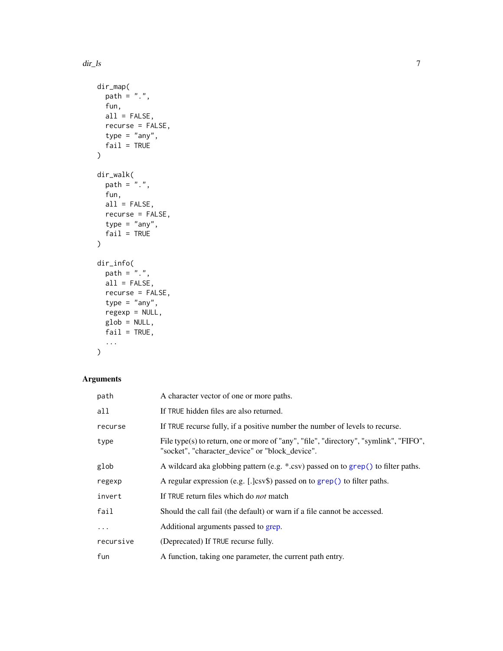```
dir_map(
 path = ".",
  fun,
  all = FALSE,recurse = FALSE,
  type = "any",fail = TRUE\mathcal{L}dir_walk(
 path = ".'',fun,
  all = FALSE,
  recurse = FALSE,
  type = "any",fail = TRUE\mathcal{L}dir_info(
 path = "."all = FALSE,recurse = FALSE,
  type = "any",regexp = NULL,
  glob = NULL,fail = TRUE,...
)
```
## Arguments

| path      | A character vector of one or more paths.                                                                                                 |
|-----------|------------------------------------------------------------------------------------------------------------------------------------------|
| all       | If TRUE hidden files are also returned.                                                                                                  |
| recurse   | If TRUE recurse fully, if a positive number the number of levels to recurse.                                                             |
| type      | File type(s) to return, one or more of "any", "file", "directory", "symlink", "FIFO",<br>"socket", "character_device" or "block_device". |
| glob      | A wildcard aka globbing pattern (e.g. *.csv) passed on to grep() to filter paths.                                                        |
| regexp    | A regular expression (e.g. $[.]$ csv\$) passed on to grep() to filter paths.                                                             |
| invert    | If TRUE return files which do <i>not</i> match                                                                                           |
| fail      | Should the call fail (the default) or warn if a file cannot be accessed.                                                                 |
| $\ddots$  | Additional arguments passed to grep.                                                                                                     |
| recursive | (Deprecated) If TRUE recurse fully.                                                                                                      |
| fun       | A function, taking one parameter, the current path entry.                                                                                |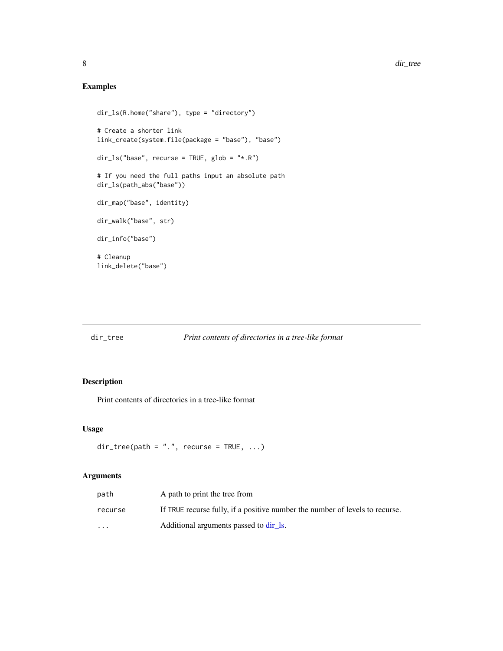## Examples

```
dir_ls(R.home("share"), type = "directory")
# Create a shorter link
link_create(system.file(package = "base"), "base")
dir_ls("base", recurse = TRUE, glob = "*.R")
# If you need the full paths input an absolute path
dir_ls(path_abs("base"))
dir_map("base", identity)
dir_walk("base", str)
dir_info("base")
# Cleanup
link_delete("base")
```
## dir\_tree *Print contents of directories in a tree-like format*

## Description

Print contents of directories in a tree-like format

### Usage

```
dir\_tree(path = ".", recurse = TRUE, ...)
```
## Arguments

| path                    | A path to print the tree from                                                |
|-------------------------|------------------------------------------------------------------------------|
| recurse                 | If TRUE recurse fully, if a positive number the number of levels to recurse. |
| $\cdot$ $\cdot$ $\cdot$ | Additional arguments passed to dir 1s.                                       |

<span id="page-7-0"></span>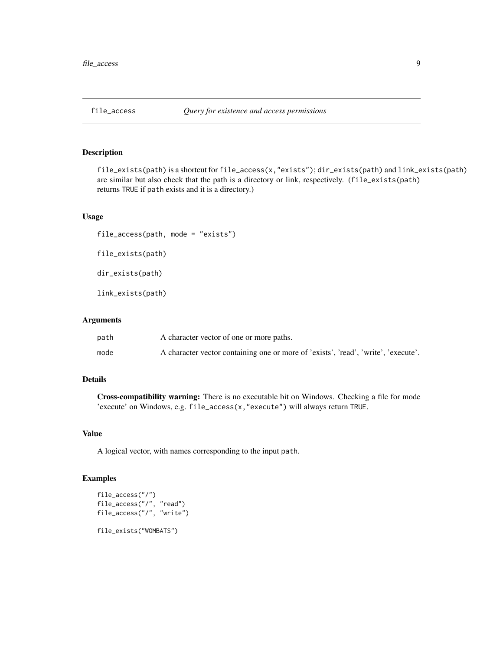<span id="page-8-1"></span><span id="page-8-0"></span>

file\_exists(path) is a shortcut for file\_access(x,"exists"); dir\_exists(path) and link\_exists(path) are similar but also check that the path is a directory or link, respectively. (file\_exists(path) returns TRUE if path exists and it is a directory.)

## Usage

```
file_access(path, mode = "exists")
```

```
file_exists(path)
```
dir\_exists(path)

link\_exists(path)

## Arguments

| path | A character vector of one or more paths.                                           |
|------|------------------------------------------------------------------------------------|
| mode | A character vector containing one or more of 'exists', 'read', 'write', 'execute'. |

## Details

Cross-compatibility warning: There is no executable bit on Windows. Checking a file for mode 'execute' on Windows, e.g. file\_access(x,"execute") will always return TRUE.

## Value

A logical vector, with names corresponding to the input path.

```
file_access("/")
file_access("/", "read")
file_access("/", "write")
file_exists("WOMBATS")
```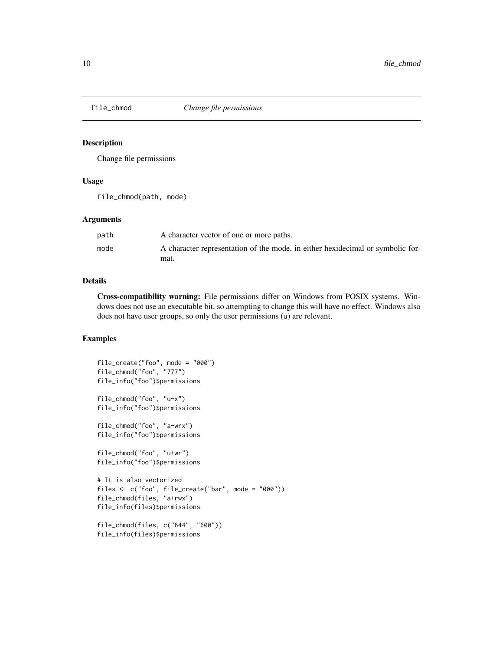<span id="page-9-0"></span>

Change file permissions

## Usage

file\_chmod(path, mode)

#### Arguments

| path | A character vector of one or more paths.                                       |
|------|--------------------------------------------------------------------------------|
| mode | A character representation of the mode, in either hexidecimal or symbolic for- |
|      | mat.                                                                           |

## Details

Cross-compatibility warning: File permissions differ on Windows from POSIX systems. Windows does not use an executable bit, so attempting to change this will have no effect. Windows also does not have user groups, so only the user permissions (u) are relevant.

```
file_create("foo", mode = "000")
file_chmod("foo", "777")
file_info("foo")$permissions
file_chmod("foo", "u-x")
file_info("foo")$permissions
file_chmod("foo", "a-wrx")
file_info("foo")$permissions
file_chmod("foo", "u+wr")
file_info("foo")$permissions
# It is also vectorized
files <- c("foo", file_create("bar", mode = "000"))
file_chmod(files, "a+rwx")
file_info(files)$permissions
file_chmod(files, c("644", "600"))
```

```
file_info(files)$permissions
```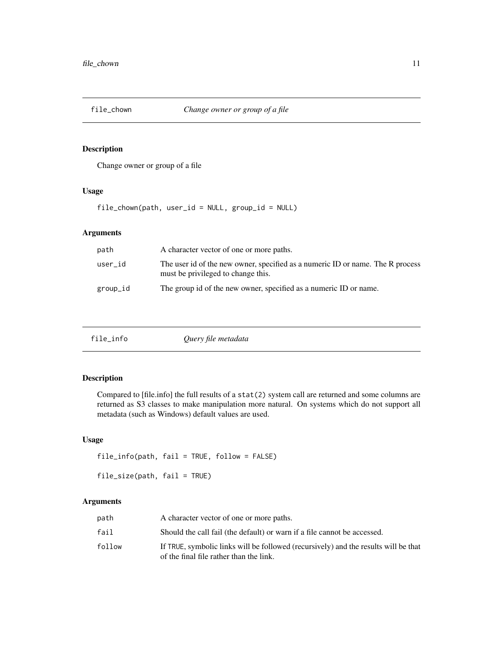<span id="page-10-0"></span>

Change owner or group of a file

## Usage

file\_chown(path, user\_id = NULL, group\_id = NULL)

## Arguments

| path     | A character vector of one or more paths.                                                                             |
|----------|----------------------------------------------------------------------------------------------------------------------|
| user_id  | The user id of the new owner, specified as a numeric ID or name. The R process<br>must be privileged to change this. |
| group_id | The group id of the new owner, specified as a numeric ID or name.                                                    |

| file_info | Query file metadata |  |
|-----------|---------------------|--|
|-----------|---------------------|--|

## Description

Compared to [file.info] the full results of a stat(2) system call are returned and some columns are returned as S3 classes to make manipulation more natural. On systems which do not support all metadata (such as Windows) default values are used.

## Usage

```
file_info(path, fail = TRUE, follow = FALSE)
file_size(path, fail = TRUE)
```
## Arguments

| path   | A character vector of one or more paths.                                                                                       |
|--------|--------------------------------------------------------------------------------------------------------------------------------|
| fail   | Should the call fail (the default) or warn if a file cannot be accessed.                                                       |
| follow | If TRUE, symbolic links will be followed (recursively) and the results will be that<br>of the final file rather than the link. |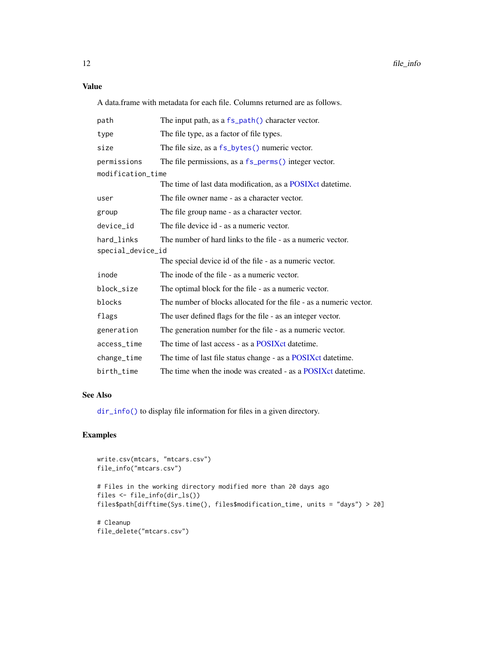<span id="page-11-0"></span>Value

A data.frame with metadata for each file. Columns returned are as follows.

| path                            | The input path, as a fs_path() character vector.                   |
|---------------------------------|--------------------------------------------------------------------|
| type                            | The file type, as a factor of file types.                          |
| size                            | The file size, as a fs_bytes() numeric vector.                     |
| permissions                     | The file permissions, as a fs_perms() integer vector.              |
| modification_time               |                                                                    |
|                                 | The time of last data modification, as a POSIX et date time.       |
| user                            | The file owner name - as a character vector.                       |
| group                           | The file group name - as a character vector.                       |
| device_id                       | The file device id - as a numeric vector.                          |
| hard_links<br>special_device_id | The number of hard links to the file - as a numeric vector.        |
|                                 | The special device id of the file - as a numeric vector.           |
| inode                           | The inode of the file - as a numeric vector.                       |
| block_size                      | The optimal block for the file - as a numeric vector.              |
| blocks                          | The number of blocks allocated for the file - as a numeric vector. |
| flags                           | The user defined flags for the file - as an integer vector.        |
| generation                      | The generation number for the file - as a numeric vector.          |
| access_time                     | The time of last access - as a POSIX ct date time.                 |
| change_time                     | The time of last file status change - as a POSIX ct date time.     |
| birth_time                      | The time when the inode was created - as a POSIX et date time.     |

#### See Also

[dir\\_info\(\)](#page-5-2) to display file information for files in a given directory.

```
write.csv(mtcars, "mtcars.csv")
file_info("mtcars.csv")
# Files in the working directory modified more than 20 days ago
files <- file_info(dir_ls())
files$path[difftime(Sys.time(), files$modification_time, units = "days") > 20]
# Cleanup
file_delete("mtcars.csv")
```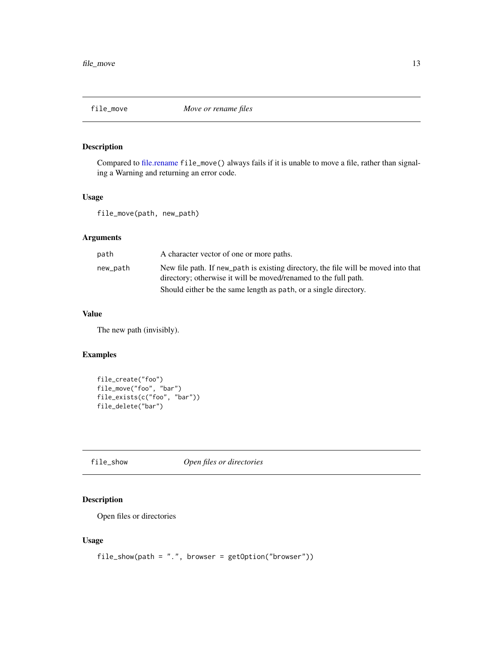<span id="page-12-0"></span>

Compared to [file.rename](#page-0-0) file\_move() always fails if it is unable to move a file, rather than signaling a Warning and returning an error code.

#### Usage

file\_move(path, new\_path)

## Arguments

| path     | A character vector of one or more paths.                                                                                                              |
|----------|-------------------------------------------------------------------------------------------------------------------------------------------------------|
| new_path | New file path. If new path is existing directory, the file will be moved into that<br>directory; otherwise it will be moved/renamed to the full path. |
|          | Should either be the same length as path, or a single directory.                                                                                      |

## Value

The new path (invisibly).

## Examples

```
file_create("foo")
file_move("foo", "bar")
file_exists(c("foo", "bar"))
file_delete("bar")
```
file\_show *Open files or directories*

## Description

Open files or directories

#### Usage

```
file\_show(path = ".", browser = getOption("browser")
```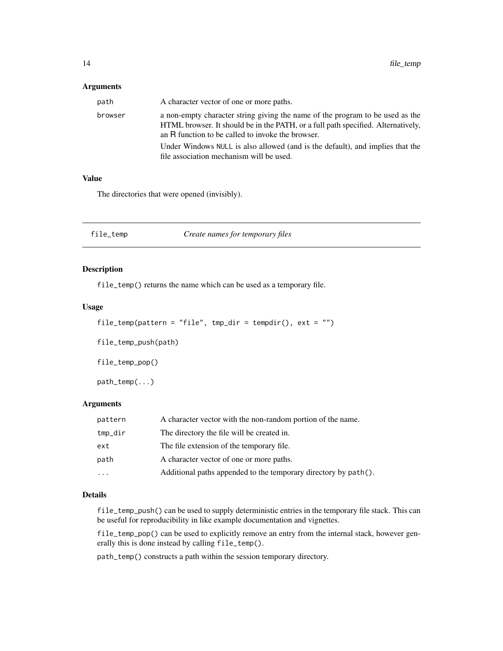## <span id="page-13-0"></span>Arguments

| path    | A character vector of one or more paths.                                                                                                                                                                               |
|---------|------------------------------------------------------------------------------------------------------------------------------------------------------------------------------------------------------------------------|
| browser | a non-empty character string giving the name of the program to be used as the<br>HTML browser. It should be in the PATH, or a full path specified. Alternatively,<br>an R function to be called to invoke the browser. |
|         | Under Windows NULL is also allowed (and is the default), and implies that the<br>file association mechanism will be used.                                                                                              |

#### Value

The directories that were opened (invisibly).

| file_temp | Create names for temporary files |
|-----------|----------------------------------|
|           |                                  |

## Description

file\_temp() returns the name which can be used as a temporary file.

#### Usage

```
file_temp(pattern = "file", tmp_dir = tempdir(), ext = "")
```
file\_temp\_push(path)

file\_temp\_pop()

path\_temp(...)

#### Arguments

| pattern   | A character vector with the non-random portion of the name.     |
|-----------|-----------------------------------------------------------------|
| tmp_dir   | The directory the file will be created in.                      |
| ext       | The file extension of the temporary file.                       |
| path      | A character vector of one or more paths.                        |
| $\ddotsc$ | Additional paths appended to the temporary directory by path(). |

#### Details

file\_temp\_push() can be used to supply deterministic entries in the temporary file stack. This can be useful for reproducibility in like example documentation and vignettes.

file\_temp\_pop() can be used to explicitly remove an entry from the internal stack, however generally this is done instead by calling file\_temp().

path\_temp() constructs a path within the session temporary directory.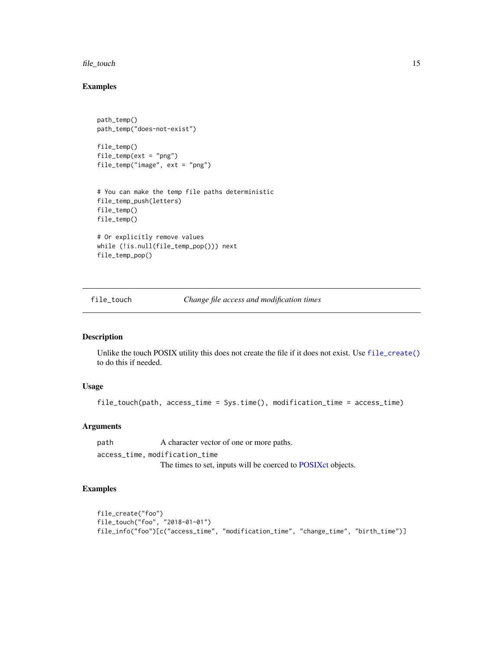#### <span id="page-14-0"></span>file\_touch 15

## Examples

```
path_temp()
path_temp("does-not-exist")
file_temp()
file_temp(ext = "png")
file_temp("image", ext = "png")
# You can make the temp file paths deterministic
file_temp_push(letters)
file_temp()
file_temp()
# Or explicitly remove values
while (!is.null(file_temp_pop())) next
file_temp_pop()
```
file\_touch *Change file access and modification times*

## Description

Unlike the touch POSIX utility this does not create the file if it does not exist. Use [file\\_create\(\)](#page-3-1) to do this if needed.

#### Usage

file\_touch(path, access\_time = Sys.time(), modification\_time = access\_time)

#### Arguments

path A character vector of one or more paths. access\_time, modification\_time The times to set, inputs will be coerced to [POSIXct](#page-0-0) objects.

```
file_create("foo")
file_touch("foo", "2018-01-01")
file_info("foo")[c("access_time", "modification_time", "change_time", "birth_time")]
```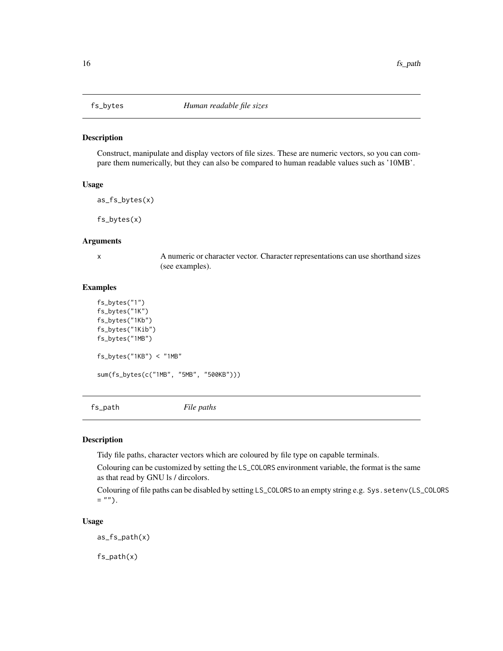<span id="page-15-2"></span><span id="page-15-0"></span>

Construct, manipulate and display vectors of file sizes. These are numeric vectors, so you can compare them numerically, but they can also be compared to human readable values such as '10MB'.

#### Usage

as\_fs\_bytes(x)

fs\_bytes(x)

#### Arguments

x A numeric or character vector. Character representations can use shorthand sizes (see examples).

#### Examples

```
fs_bytes("1")
fs_bytes("1K")
fs_bytes("1Kb")
fs_bytes("1Kib")
fs_bytes("1MB")
fs_bytes("1KB") < "1MB"
sum(fs_bytes(c("1MB", "5MB", "500KB")))
```
<span id="page-15-1"></span>fs\_path *File paths*

#### Description

Tidy file paths, character vectors which are coloured by file type on capable terminals.

Colouring can be customized by setting the LS\_COLORS environment variable, the format is the same as that read by GNU ls / dircolors.

Colouring of file paths can be disabled by setting LS\_COLORS to an empty string e.g. Sys. setenv(LS\_COLORS  $=$  "").

#### Usage

as\_fs\_path(x)

fs\_path(x)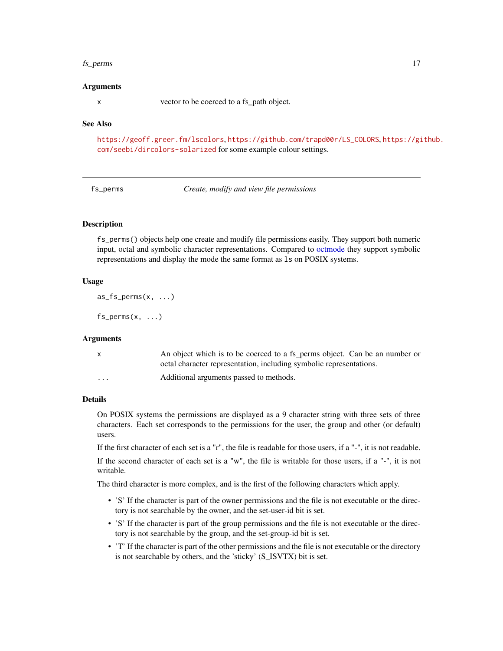#### <span id="page-16-0"></span>fs\_perms 17

#### Arguments

x vector to be coerced to a fs\_path object.

#### See Also

<https://geoff.greer.fm/lscolors>, [https://github.com/trapd00r/LS\\_COLORS](https://github.com/trapd00r/LS_COLORS), [https://gi](https://github.com/seebi/dircolors-solarized)thub. [com/seebi/dircolors-solarized](https://github.com/seebi/dircolors-solarized) for some example colour settings.

<span id="page-16-1"></span>fs\_perms *Create, modify and view file permissions*

#### Description

fs\_perms() objects help one create and modify file permissions easily. They support both numeric input, octal and symbolic character representations. Compared to [octmode](#page-0-0) they support symbolic representations and display the mode the same format as ls on POSIX systems.

#### Usage

 $as_fs_perms(x, \ldots)$ 

 $fs\_perms(x, ...)$ 

### Arguments

| $\mathsf{X}$ | An object which is to be coerced to a fs_perms object. Can be an number or |
|--------------|----------------------------------------------------------------------------|
|              | octal character representation, including symbolic representations.        |
| $\cdots$     | Additional arguments passed to methods.                                    |

#### Details

On POSIX systems the permissions are displayed as a 9 character string with three sets of three characters. Each set corresponds to the permissions for the user, the group and other (or default) users.

If the first character of each set is a "r", the file is readable for those users, if a "-", it is not readable.

If the second character of each set is a "w", the file is writable for those users, if a "-", it is not writable.

The third character is more complex, and is the first of the following characters which apply.

- 'S' If the character is part of the owner permissions and the file is not executable or the directory is not searchable by the owner, and the set-user-id bit is set.
- 'S' If the character is part of the group permissions and the file is not executable or the directory is not searchable by the group, and the set-group-id bit is set.
- 'T' If the character is part of the other permissions and the file is not executable or the directory is not searchable by others, and the 'sticky' (S\_ISVTX) bit is set.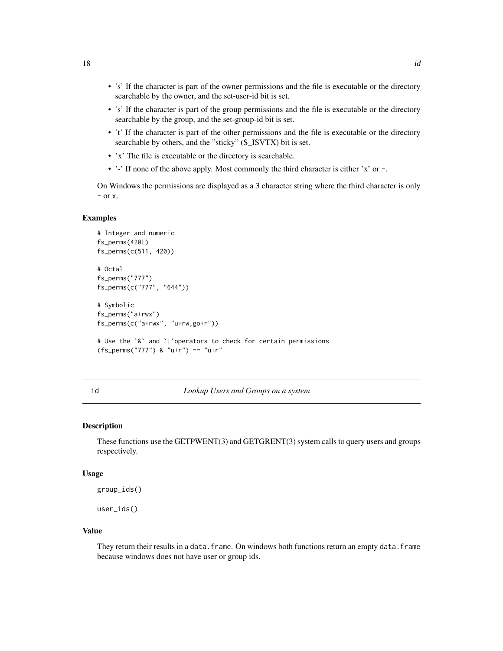- <span id="page-17-0"></span>• 's' If the character is part of the owner permissions and the file is executable or the directory searchable by the owner, and the set-user-id bit is set.
- 's' If the character is part of the group permissions and the file is executable or the directory searchable by the group, and the set-group-id bit is set.
- 't' If the character is part of the other permissions and the file is executable or the directory searchable by others, and the "sticky" (S\_ISVTX) bit is set.
- 'x' The file is executable or the directory is searchable.
- '-' If none of the above apply. Most commonly the third character is either 'x' or -.

On Windows the permissions are displayed as a 3 character string where the third character is only  $-$  or  $x$ .

#### Examples

```
# Integer and numeric
fs_perms(420L)
fs_perms(c(511, 420))
# Octal
fs_perms("777")
fs_perms(c("777", "644"))
# Symbolic
fs_perms("a+rwx")
fs_perms(c("a+rwx", "u+rw,go+r"))
# Use the `&` and `|`operators to check for certain permissions
(fs_perms("777") & "u+r") == "u+r"
```
#### id *Lookup Users and Groups on a system*

## **Description**

These functions use the GETPWENT(3) and GETGRENT(3) system calls to query users and groups respectively.

#### Usage

group\_ids()

user\_ids()

#### Value

They return their results in a data.frame. On windows both functions return an empty data.frame because windows does not have user or group ids.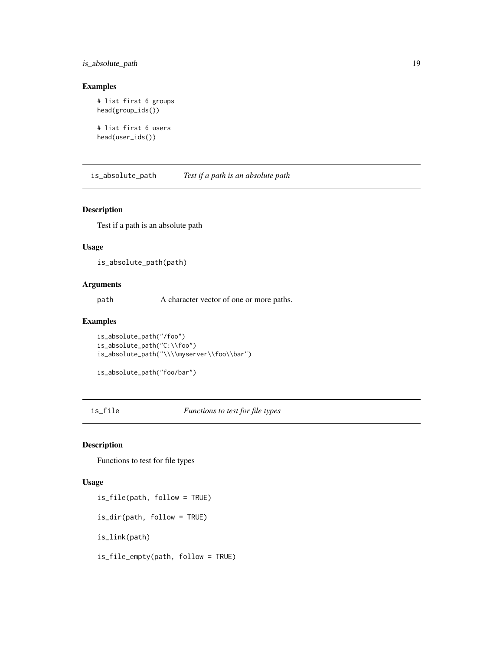## <span id="page-18-0"></span>is\_absolute\_path 19

## Examples

```
# list first 6 groups
head(group_ids())
# list first 6 users
```
head(user\_ids())

is\_absolute\_path *Test if a path is an absolute path*

#### Description

Test if a path is an absolute path

#### Usage

is\_absolute\_path(path)

## Arguments

path A character vector of one or more paths.

## Examples

```
is_absolute_path("/foo")
is_absolute_path("C:\\foo")
is_absolute_path("\\\\myserver\\foo\\bar")
```

```
is_absolute_path("foo/bar")
```
is\_file *Functions to test for file types*

## Description

Functions to test for file types

#### Usage

is\_file(path, follow = TRUE) is\_dir(path, follow = TRUE) is\_link(path) is\_file\_empty(path, follow = TRUE)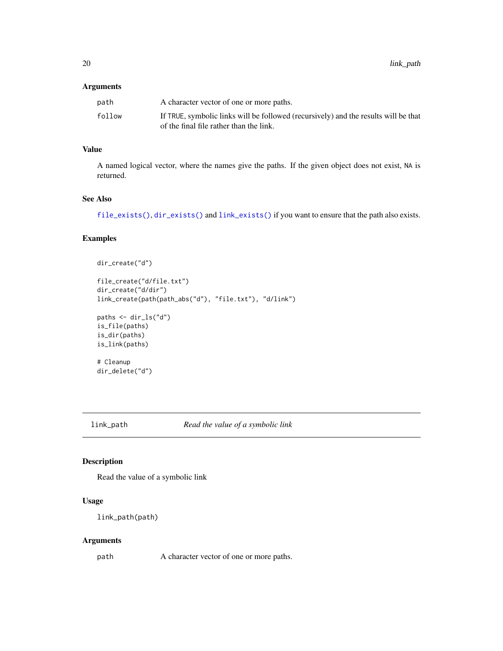## <span id="page-19-0"></span>Arguments

| path   | A character vector of one or more paths.                                            |
|--------|-------------------------------------------------------------------------------------|
| follow | If TRUE, symbolic links will be followed (recursively) and the results will be that |
|        | of the final file rather than the link.                                             |

## Value

A named logical vector, where the names give the paths. If the given object does not exist, NA is returned.

## See Also

[file\\_exists\(\)](#page-8-1), [dir\\_exists\(\)](#page-8-1) and [link\\_exists\(\)](#page-8-1) if you want to ensure that the path also exists.

#### Examples

```
dir_create("d")
```

```
file_create("d/file.txt")
dir_create("d/dir")
link_create(path(path_abs("d"), "file.txt"), "d/link")
```

```
paths <- dir_ls("d")
is_file(paths)
is_dir(paths)
is_link(paths)
```

```
# Cleanup
dir_delete("d")
```
link\_path *Read the value of a symbolic link*

## Description

Read the value of a symbolic link

## Usage

```
link_path(path)
```
#### Arguments

path A character vector of one or more paths.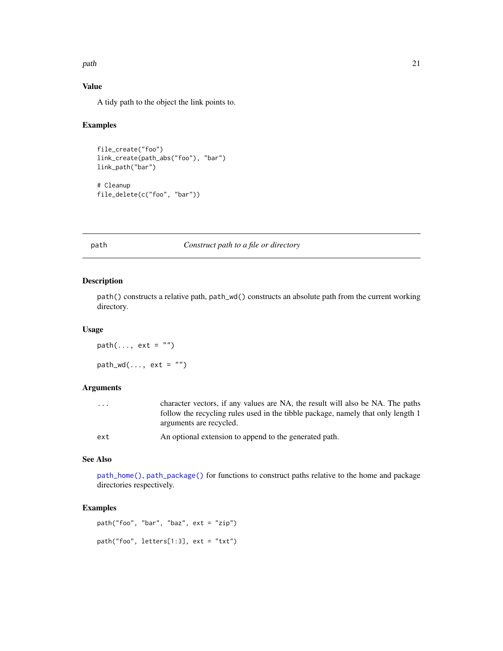#### <span id="page-20-0"></span> $p$ ath  $21$

## Value

A tidy path to the object the link points to.

#### Examples

```
file_create("foo")
link_create(path_abs("foo"), "bar")
link_path("bar")
# Cleanup
```
file\_delete(c("foo", "bar"))

## <span id="page-20-1"></span>path *Construct path to a file or directory*

#### Description

path() constructs a relative path, path\_wd() constructs an absolute path from the current working directory.

## Usage

 $path(\ldots, ext = "")$  $path_wd(..., ext = "")$ 

#### Arguments

| .   | character vectors, if any values are NA, the result will also be NA. The paths   |
|-----|----------------------------------------------------------------------------------|
|     | follow the recycling rules used in the tibble package, namely that only length 1 |
|     | arguments are recycled.                                                          |
| ext | An optional extension to append to the generated path.                           |

### See Also

[path\\_home\(\)](#page-21-1), [path\\_package\(\)](#page-26-1) for functions to construct paths relative to the home and package directories respectively.

## Examples

path("foo", "bar", "baz", ext = "zip") path("foo", letters[1:3], ext = "txt")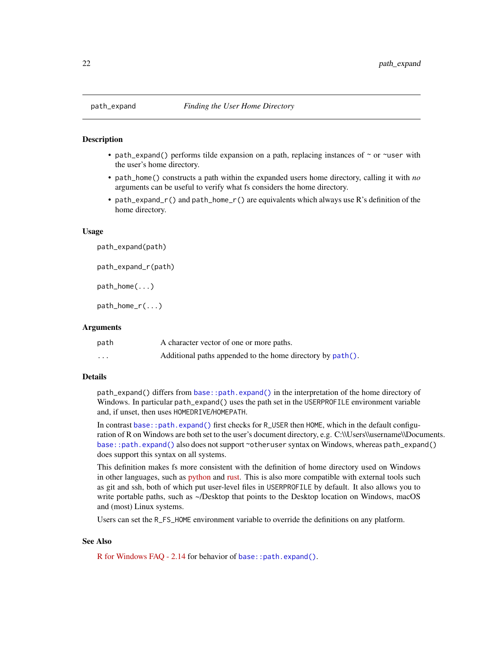<span id="page-21-2"></span><span id="page-21-1"></span><span id="page-21-0"></span>

- path\_expand() performs tilde expansion on a path, replacing instances of  $\sim$  or  $\sim$ user with the user's home directory.
- path\_home() constructs a path within the expanded users home directory, calling it with *no* arguments can be useful to verify what fs considers the home directory.
- path\_expand\_r() and path\_home\_r() are equivalents which always use R's definition of the home directory.

#### Usage

path\_expand(path) path\_expand\_r(path) path\_home(...)

path\_home\_r(...)

#### Arguments

| path              | A character vector of one or more paths.                   |
|-------------------|------------------------------------------------------------|
| $\cdot\cdot\cdot$ | Additional paths appended to the home directory by path(). |

#### Details

path\_expand() differs from [base::path.expand\(\)](#page-0-0) in the interpretation of the home directory of Windows. In particular path\_expand() uses the path set in the USERPROFILE environment variable and, if unset, then uses HOMEDRIVE/HOMEPATH.

In contrast [base::path.expand\(\)](#page-0-0) first checks for R\_USER then HOME, which in the default configuration of R on Windows are both set to the user's document directory, e.g. C:\\Users\\username\\Documents. [base::path.expand\(\)](#page-0-0) also does not support ~otheruser syntax on Windows, whereas path\_expand() does support this syntax on all systems.

This definition makes fs more consistent with the definition of home directory used on Windows in other languages, such as [python](https://docs.python.org/3/library/os.path.html#os.path.expanduser) and [rust.](https://doc.rust-lang.org/std/env/fn.home_dir.html#windows) This is also more compatible with external tools such as git and ssh, both of which put user-level files in USERPROFILE by default. It also allows you to write portable paths, such as ~/Desktop that points to the Desktop location on Windows, macOS and (most) Linux systems.

Users can set the R\_FS\_HOME environment variable to override the definitions on any platform.

### See Also

[R for Windows FAQ - 2.14](https://cran.r-project.org/bin/windows/base/rw-FAQ.html#What-are-HOME-and-working-directories_003f) for behavior of [base::path.expand\(\)](#page-0-0).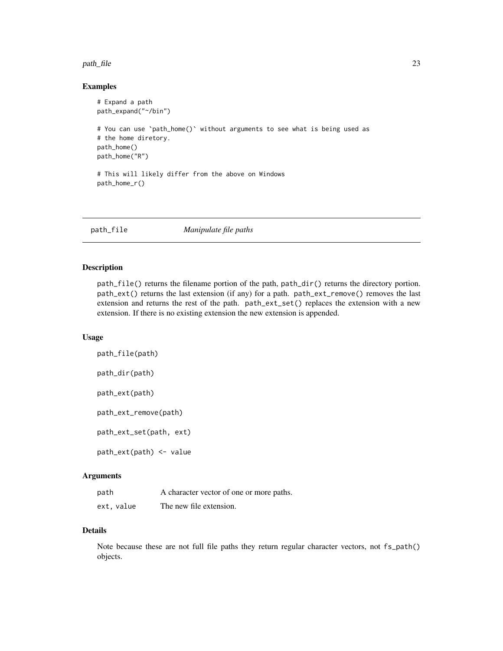#### <span id="page-22-0"></span>path\_file 23

#### Examples

```
# Expand a path
path_expand("~/bin")
# You can use `path_home()` without arguments to see what is being used as
# the home diretory.
path_home()
path_home("R")
# This will likely differ from the above on Windows
path_home_r()
```
path\_file *Manipulate file paths*

## Description

path\_file() returns the filename portion of the path, path\_dir() returns the directory portion. path\_ext() returns the last extension (if any) for a path. path\_ext\_remove() removes the last extension and returns the rest of the path. path\_ext\_set() replaces the extension with a new extension. If there is no existing extension the new extension is appended.

## Usage

path\_file(path) path\_dir(path) path\_ext(path) path\_ext\_remove(path) path\_ext\_set(path, ext) path\_ext(path) <- value

## Arguments

| path      | A character vector of one or more paths. |
|-----------|------------------------------------------|
| ext.value | The new file extension.                  |

## Details

Note because these are not full file paths they return regular character vectors, not fs\_path() objects.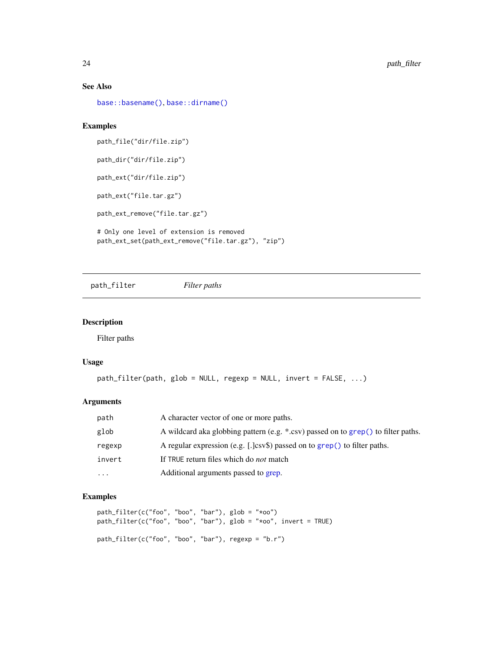### See Also

[base::basename\(\)](#page-0-0), [base::dirname\(\)](#page-0-0)

## Examples

path\_file("dir/file.zip") path\_dir("dir/file.zip") path\_ext("dir/file.zip") path\_ext("file.tar.gz") path\_ext\_remove("file.tar.gz") # Only one level of extension is removed

path\_ext\_set(path\_ext\_remove("file.tar.gz"), "zip")

path\_filter *Filter paths*

## Description

Filter paths

#### Usage

```
path_filter(path, glob = NULL, regexp = NULL, invert = FALSE, ...)
```
## Arguments

| path      | A character vector of one or more paths.                                          |
|-----------|-----------------------------------------------------------------------------------|
| glob      | A wildcard aka globbing pattern (e.g. *.csv) passed on to grep() to filter paths. |
| regexp    | A regular expression (e.g. [.]csv\$) passed on to grep() to filter paths.         |
| invert    | If TRUE return files which do <i>not</i> match                                    |
| $\ddotsc$ | Additional arguments passed to grep.                                              |

```
path_filter(c("foo", "boo", "bar"), glob = "*oo")
path_filter(c("foo", "boo", "bar"), glob = "*oo", invert = TRUE)
path_filter(c("foo", "boo", "bar"), regexp = "b.r")
```
<span id="page-23-0"></span>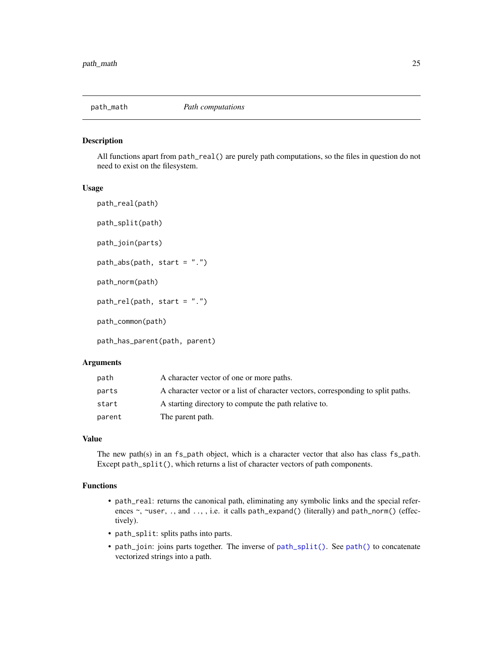<span id="page-24-1"></span><span id="page-24-0"></span>

All functions apart from path\_real() are purely path computations, so the files in question do not need to exist on the filesystem.

#### Usage

path\_real(path) path\_split(path) path\_join(parts) path\_abs(path, start = ".") path\_norm(path)  $path_{rel}(path, start = ".'')$ path\_common(path) path\_has\_parent(path, parent)

#### Arguments

| path   | A character vector of one or more paths.                                         |
|--------|----------------------------------------------------------------------------------|
| parts  | A character vector or a list of character vectors, corresponding to split paths. |
| start  | A starting directory to compute the path relative to.                            |
| parent | The parent path.                                                                 |

## Value

The new path(s) in an fs\_path object, which is a character vector that also has class fs\_path. Except path\_split(), which returns a list of character vectors of path components.

## Functions

- path\_real: returns the canonical path, eliminating any symbolic links and the special references ~, ~user, ., and .., , i.e. it calls path\_expand() (literally) and path\_norm() (effectively).
- path\_split: splits paths into parts.
- path\_join: joins parts together. The inverse of [path\\_split\(\)](#page-24-1). See [path\(\)](#page-20-1) to concatenate vectorized strings into a path.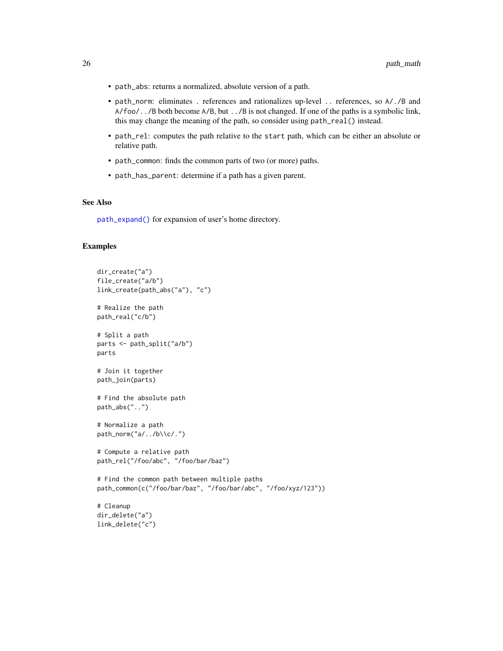- <span id="page-25-0"></span>• path\_abs: returns a normalized, absolute version of a path.
- path\_norm: eliminates . references and rationalizes up-level .. references, so A/./B and A/foo/../B both become A/B, but ../B is not changed. If one of the paths is a symbolic link, this may change the meaning of the path, so consider using path\_real() instead.
- path\_rel: computes the path relative to the start path, which can be either an absolute or relative path.
- path\_common: finds the common parts of two (or more) paths.
- path\_has\_parent: determine if a path has a given parent.

## See Also

[path\\_expand\(\)](#page-21-2) for expansion of user's home directory.

```
dir_create("a")
file_create("a/b")
link_create(path_abs("a"), "c")
# Realize the path
path_real("c/b")
# Split a path
parts <- path_split("a/b")
parts
# Join it together
path_join(parts)
# Find the absolute path
path_abs("..")
# Normalize a path
path_norm("a/../b\\c/.")
# Compute a relative path
path_rel("/foo/abc", "/foo/bar/baz")
# Find the common path between multiple paths
path_common(c("/foo/bar/baz", "/foo/bar/abc", "/foo/xyz/123"))
# Cleanup
dir_delete("a")
link_delete("c")
```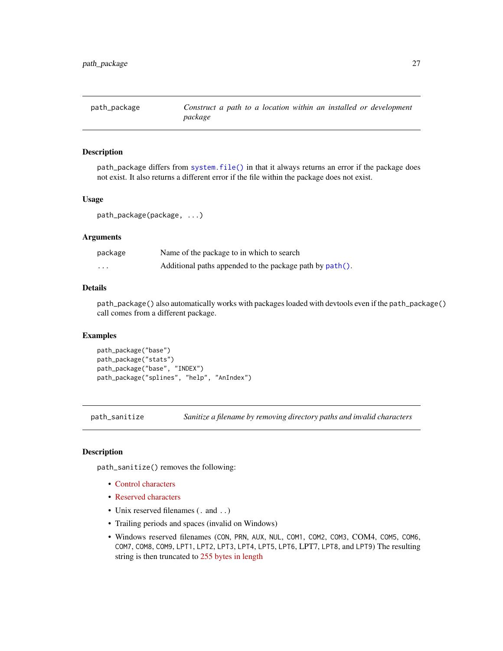<span id="page-26-1"></span><span id="page-26-0"></span>

path\_package differs from [system.file\(\)](#page-0-0) in that it always returns an error if the package does not exist. It also returns a different error if the file within the package does not exist.

#### Usage

path\_package(package, ...)

## Arguments

| package | Name of the package to in which to search                |
|---------|----------------------------------------------------------|
| .       | Additional paths appended to the package path by path(). |

#### Details

path\_package() also automatically works with packages loaded with devtools even if the path\_package() call comes from a different package.

## Examples

```
path_package("base")
path_package("stats")
path_package("base", "INDEX")
path_package("splines", "help", "AnIndex")
```
path\_sanitize *Sanitize a filename by removing directory paths and invalid characters*

## Description

path\_sanitize() removes the following:

- [Control characters](https://en.wikipedia.org/wiki/C0_and_C1_control_codes)
- [Reserved characters](https://kb.acronis.com/content/39790)
- Unix reserved filenames (. and ..)
- Trailing periods and spaces (invalid on Windows)
- Windows reserved filenames (CON, PRN, AUX, NUL, COM1, COM2, COM3, COM4, COM5, COM6, COM7, COM8, COM9, LPT1, LPT2, LPT3, LPT4, LPT5, LPT6, LPT7, LPT8, and LPT9) The resulting string is then truncated to [255 bytes in length](https://en.wikipedia.org/wiki/Comparison_of_file_systems#Limits)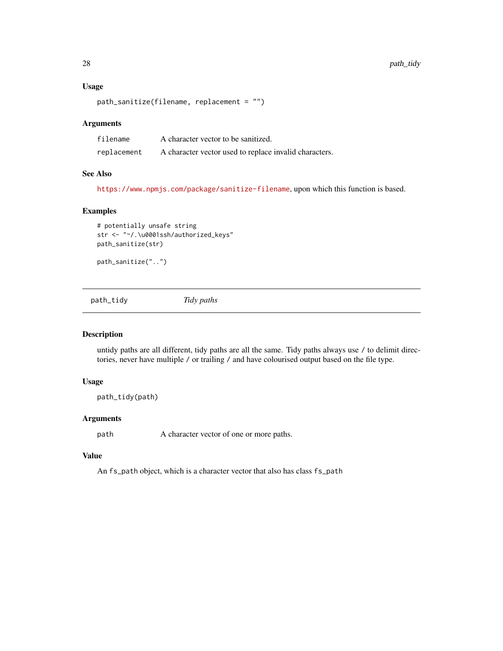#### Usage

```
path_sanitize(filename, replacement = "")
```
#### Arguments

| filename    | A character vector to be sanitized.                    |
|-------------|--------------------------------------------------------|
| replacement | A character vector used to replace invalid characters. |

#### See Also

<https://www.npmjs.com/package/sanitize-filename>, upon which this function is based.

## Examples

```
# potentially unsafe string
str <- "~/.\u0001ssh/authorized_keys"
path_sanitize(str)
```

```
path_sanitize("..")
```
path\_tidy *Tidy paths*

## Description

untidy paths are all different, tidy paths are all the same. Tidy paths always use / to delimit directories, never have multiple / or trailing / and have colourised output based on the file type.

#### Usage

```
path_tidy(path)
```
#### Arguments

path A character vector of one or more paths.

## Value

An fs\_path object, which is a character vector that also has class fs\_path

<span id="page-27-0"></span>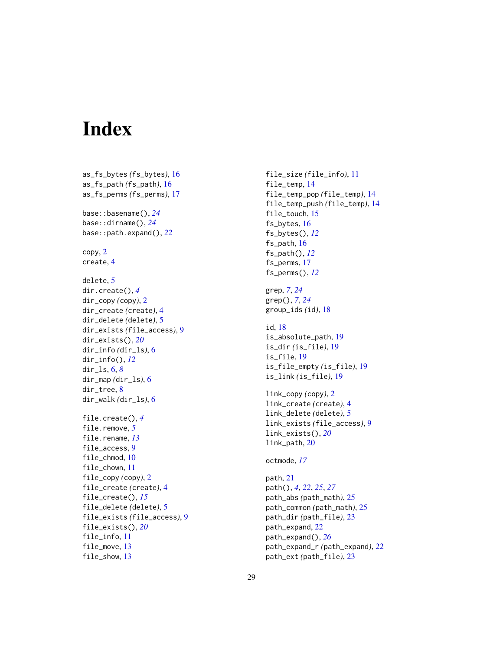# <span id="page-28-0"></span>Index

as\_fs\_bytes *(*fs\_bytes*)*, [16](#page-15-0) as\_fs\_path *(*fs\_path*)*, [16](#page-15-0) as\_fs\_perms *(*fs\_perms*)*, [17](#page-16-0) base::basename(), *[24](#page-23-0)* base::dirname(), *[24](#page-23-0)* base::path.expand(), *[22](#page-21-0)* copy, [2](#page-1-0) create, [4](#page-3-0) delete, [5](#page-4-0) dir.create(), *[4](#page-3-0)* dir\_copy *(*copy*)*, [2](#page-1-0) dir\_create *(*create*)*, [4](#page-3-0) dir\_delete *(*delete*)*, [5](#page-4-0) dir\_exists *(*file\_access*)*, [9](#page-8-0) dir\_exists(), *[20](#page-19-0)* dir\_info *(*dir\_ls*)*, [6](#page-5-0) dir\_info(), *[12](#page-11-0)* dir\_ls, [6,](#page-5-0) *[8](#page-7-0)* dir\_map *(*dir\_ls*)*, [6](#page-5-0) dir\_tree, [8](#page-7-0) dir\_walk *(*dir\_ls*)*, [6](#page-5-0) file.create(), *[4](#page-3-0)* file.remove, *[5](#page-4-0)* file.rename, *[13](#page-12-0)* file\_access, [9](#page-8-0) file\_chmod, [10](#page-9-0) file\_chown, [11](#page-10-0) file\_copy *(*copy*)*, [2](#page-1-0) file\_create *(*create*)*, [4](#page-3-0) file\_create(), *[15](#page-14-0)* file\_delete *(*delete*)*, [5](#page-4-0) file\_exists *(*file\_access*)*, [9](#page-8-0) file\_exists(), *[20](#page-19-0)* file\_info, [11](#page-10-0) file\_move, [13](#page-12-0) file\_show, [13](#page-12-0)

file\_size *(*file\_info*)*, [11](#page-10-0) file\_temp, [14](#page-13-0) file\_temp\_pop *(*file\_temp*)*, [14](#page-13-0) file\_temp\_push *(*file\_temp*)*, [14](#page-13-0) file\_touch, [15](#page-14-0) fs\_bytes, [16](#page-15-0) fs\_bytes(), *[12](#page-11-0)* fs\_path, [16](#page-15-0) fs\_path(), *[12](#page-11-0)* fs\_perms, [17](#page-16-0) fs\_perms(), *[12](#page-11-0)* grep, *[7](#page-6-0)*, *[24](#page-23-0)* grep(), *[7](#page-6-0)*, *[24](#page-23-0)* group\_ids *(*id*)*, [18](#page-17-0) id, [18](#page-17-0) is\_absolute\_path, [19](#page-18-0) is\_dir *(*is\_file*)*, [19](#page-18-0) is\_file, [19](#page-18-0) is\_file\_empty *(*is\_file*)*, [19](#page-18-0) is\_link *(*is\_file*)*, [19](#page-18-0) link\_copy *(*copy*)*, [2](#page-1-0) link\_create *(*create*)*, [4](#page-3-0) link\_delete *(*delete*)*, [5](#page-4-0) link\_exists *(*file\_access*)*, [9](#page-8-0) link\_exists(), *[20](#page-19-0)* link\_path, [20](#page-19-0) octmode, *[17](#page-16-0)* path, [21](#page-20-0) path(), *[4](#page-3-0)*, *[22](#page-21-0)*, *[25](#page-24-0)*, *[27](#page-26-0)* path\_abs *(*path\_math*)*, [25](#page-24-0) path\_common *(*path\_math*)*, [25](#page-24-0) path\_dir *(*path\_file*)*, [23](#page-22-0) path\_expand, [22](#page-21-0) path\_expand(), *[26](#page-25-0)* path\_expand\_r *(*path\_expand*)*, [22](#page-21-0) path\_ext *(*path\_file*)*, [23](#page-22-0)